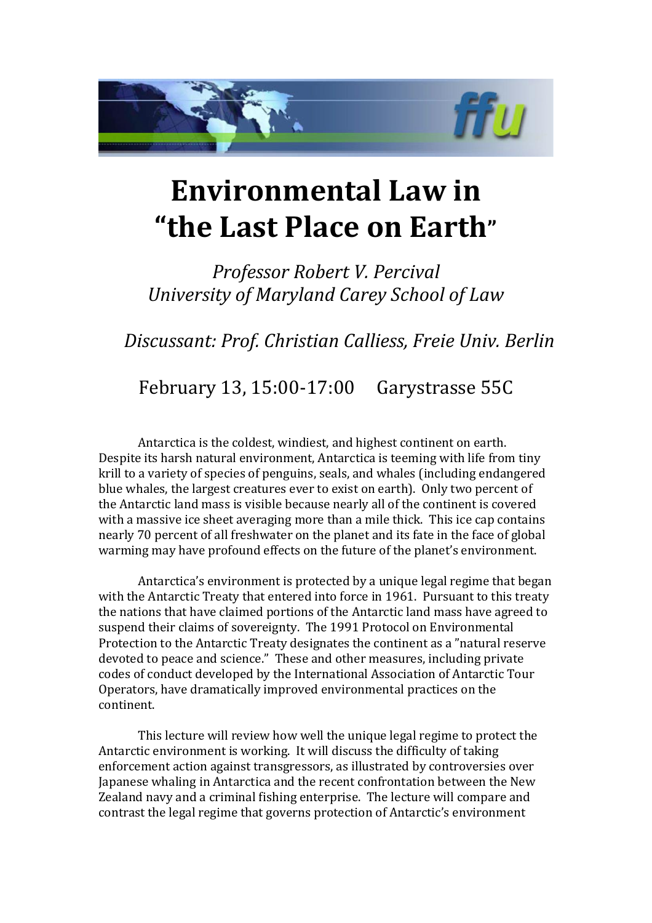

## **Environmental Law in "the Last Place on Earth"**

*Professor Robert V. Percival University of Maryland Carey School of Law*

*Discussant: Prof. Christian Calliess, Freie Univ. Berlin*

February 13, 15:00-17:00 Garystrasse 55C

Antarctica is the coldest, windiest, and highest continent on earth. Despite its harsh natural environment, Antarctica is teeming with life from tiny krill to a variety of species of penguins, seals, and whales (including endangered blue whales, the largest creatures ever to exist on earth). Only two percent of the Antarctic land mass is visible because nearly all of the continent is covered with a massive ice sheet averaging more than a mile thick. This ice cap contains nearly 70 percent of all freshwater on the planet and its fate in the face of global warming may have profound effects on the future of the planet's environment.

Antarctica's environment is protected by a unique legal regime that began with the Antarctic Treaty that entered into force in 1961. Pursuant to this treaty the nations that have claimed portions of the Antarctic land mass have agreed to suspend their claims of sovereignty. The 1991 Protocol on Environmental Protection to the Antarctic Treaty designates the continent as a "natural reserve devoted to peace and science." These and other measures, including private codes of conduct developed by the International Association of Antarctic Tour Operators, have dramatically improved environmental practices on the continent.

This lecture will review how well the unique legal regime to protect the Antarctic environment is working. It will discuss the difficulty of taking enforcement action against transgressors, as illustrated by controversies over Japanese whaling in Antarctica and the recent confrontation between the New Zealand navy and a criminal fishing enterprise. The lecture will compare and contrast the legal regime that governs protection of Antarctic's environment